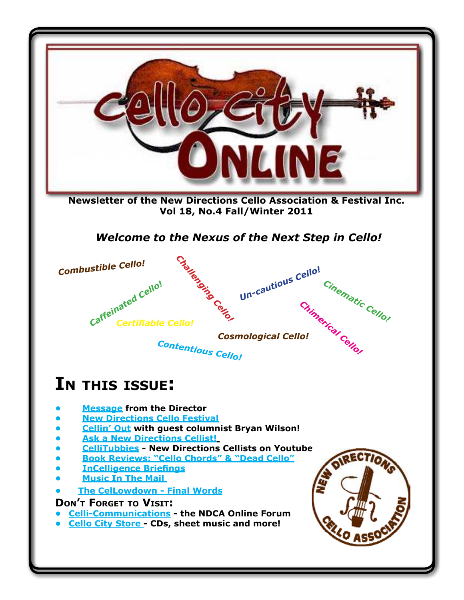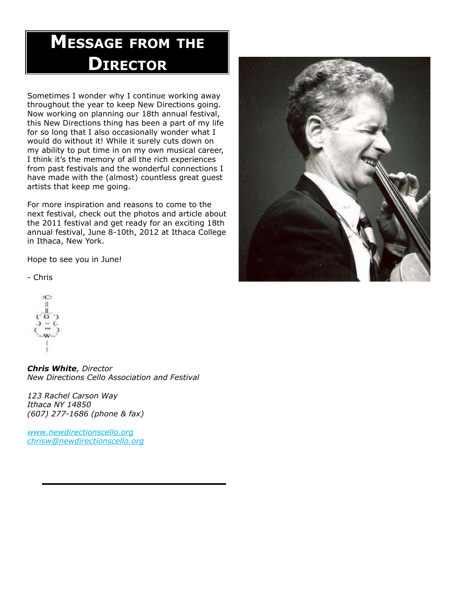# **Message FroM the DIrector**

Sometimes I wonder why I continue working away throughout the year to keep New Directions going. Now working on planning our 18th annual festival, this New Directions thing has been a part of my life for so long that I also occasionally wonder what I would do without it! While it surely cuts down on my ability to put time in on my own musical career, I think it's the memory of all the rich experiences from past festivals and the wonderful connections I have made with the (almost) countless great guest artists that keep me going.

For more inspiration and reasons to come to the next festival, check out the photos and article about the 2011 festival and get ready for an exciting 18th annual festival, June 8-10th, 2012 at Ithaca College in Ithaca, New York.

Hope to see you in June!

- Chris

 $\cdot$ 

*Chris White, Director New Directions Cello Association and Festival*

*123 Rachel Carson Way Ithaca NY 14850 (607) 277-1686 (phone & fax)*

*www.newdirectionscello.org chrisw@newdirectionscello.org*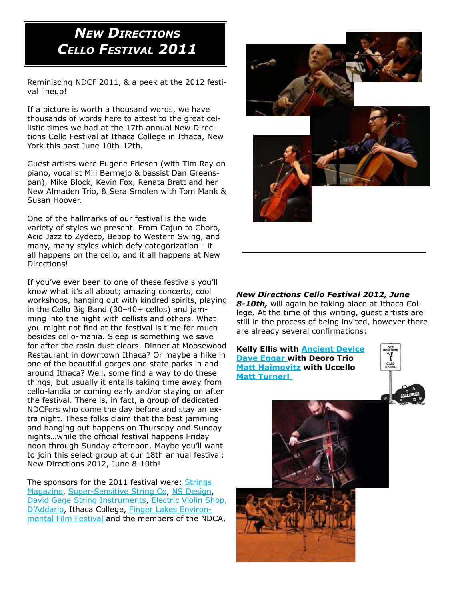### *New DirectioNs cello Festival 2011*

Reminiscing NDCF 2011, & a peek at the 2012 festival lineup!

If a picture is worth a thousand words, we have thousands of words here to attest to the great cellistic times we had at the 17th annual New Directions Cello Festival at Ithaca College in Ithaca, New York this past June 10th-12th.

Guest artists were Eugene Friesen (with Tim Ray on piano, vocalist Mili Bermejo & bassist Dan Greenspan), Mike Block, Kevin Fox, Renata Bratt and her New Almaden Trio, & Sera Smolen with Tom Mank & Susan Hoover.

One of the hallmarks of our festival is the wide variety of styles we present. From Cajun to Choro, Acid Jazz to Zydeco, Bebop to Western Swing, and many, many styles which defy categorization - it all happens on the cello, and it all happens at New Directions!

If you've ever been to one of these festivals you'll know what it's all about; amazing concerts, cool workshops, hanging out with kindred spirits, playing in the Cello Big Band (30–40+ cellos) and jamming into the night with cellists and others. What you might not find at the festival is time for much besides cello-mania. Sleep is something we save for after the rosin dust clears. Dinner at Moosewood Restaurant in downtown Ithaca? Or maybe a hike in one of the beautiful gorges and state parks in and around Ithaca? Well, some find a way to do these things, but usually it entails taking time away from cello-landia or coming early and/or staying on after the festival. There is, in fact, a group of dedicated NDCFers who come the day before and stay an extra night. These folks claim that the best jamming and hanging out happens on Thursday and Sunday nights…while the official festival happens Friday noon through Sunday afternoon. Maybe you'll want to join this select group at our 18th annual festival: New Directions 2012, June 8-10th!

The sponsors for the 2011 festival were: Strings Magazine, Super-Sensitive String Co, NS Design, David Gage String Instruments, Electric Violin Shop, D'Addario, Ithaca College, Finger Lakes Environmental Film Festival and the members of the NDCA.



#### *New Directions Cello Festival 2012, June*

*8-10th,* will again be taking place at Ithaca College. At the time of this writing, guest artists are still in the process of being invited, however there are already several confirmations:





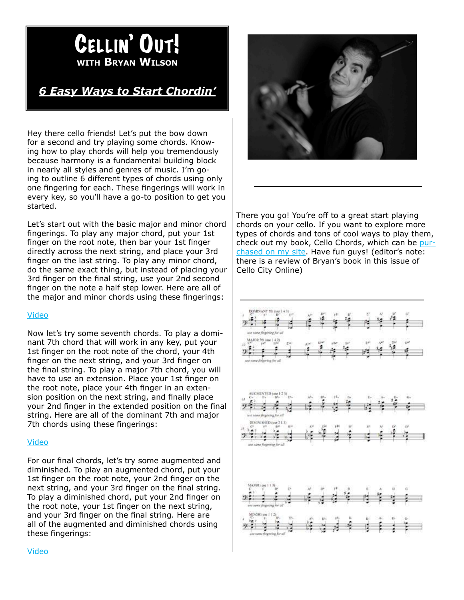## **wIth Bryan wIlson** Cellin' Out!

### *6 Easy Ways to Start Chordin'*

Hey there cello friends! Let's put the bow down for a second and try playing some chords. Knowing how to play chords will help you tremendously because harmony is a fundamental building block in nearly all styles and genres of music. I'm going to outline 6 different types of chords using only one fingering for each. These fingerings will work in every key, so you'll have a go-to position to get you started.

Let's start out with the basic major and minor chord fingerings. To play any major chord, put your 1st finger on the root note, then bar your 1st finger directly across the next string, and place your 3rd finger on the last string. To play any minor chord, do the same exact thing, but instead of placing your 3rd finger on the final string, use your 2nd second finger on the note a half step lower. Here are all of the major and minor chords using these fingerings:

#### Video

Now let's try some seventh chords. To play a dominant 7th chord that will work in any key, put your 1st finger on the root note of the chord, your 4th finger on the next string, and your 3rd finger on the final string. To play a major 7th chord, you will have to use an extension. Place your 1st finger on the root note, place your 4th finger in an extension position on the next string, and finally place your 2nd finger in the extended position on the final string. Here are all of the dominant 7th and major 7th chords using these fingerings:

#### Video

For our final chords, let's try some augmented and diminished. To play an augmented chord, put your 1st finger on the root note, your 2nd finger on the next string, and your 3rd finger on the final string. To play a diminished chord, put your 2nd finger on the root note, your 1st finger on the next string, and your 3rd finger on the final string. Here are all of the augmented and diminished chords using these fingerings:



There you go! You're off to a great start playing chords on your cello. If you want to explore more types of chords and tons of cool ways to play them, check out my book, Cello Chords, which can be purchased on my site. Have fun guys! (editor's note: there is a review of Bryan's book in this issue of Cello City Online)

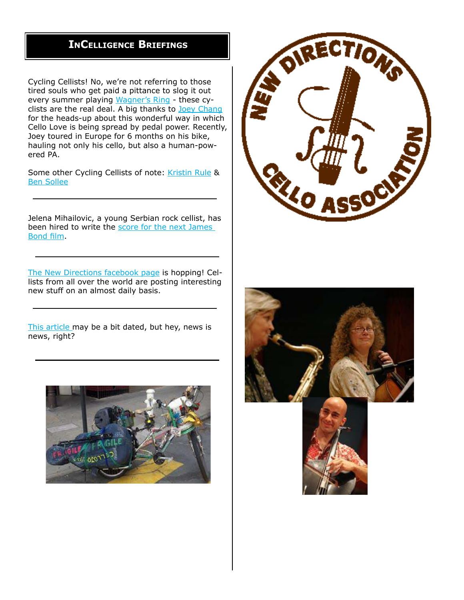### **IncellIgence BrIeFIngs**

Cycling Cellists! No, we're not referring to those tired souls who get paid a pittance to slog it out every summer playing Wagner's Ring - these cyclists are the real deal. A big thanks to Joey Chang for the heads-up about this wonderful way in which Cello Love is being spread by pedal power. Recently, Joey toured in Europe for 6 months on his bike, hauling not only his cello, but also a human-powered PA.

Some other Cycling Cellists of note: Kristin Rule & Ben Sollee

Jelena Mihailovic, a young Serbian rock cellist, has been hired to write the score for the next James Bond film.

The New Directions facebook page is hopping! Cellists from all over the world are posting interesting new stuff on an almost daily basis.

This article may be a bit dated, but hey, news is news, right?





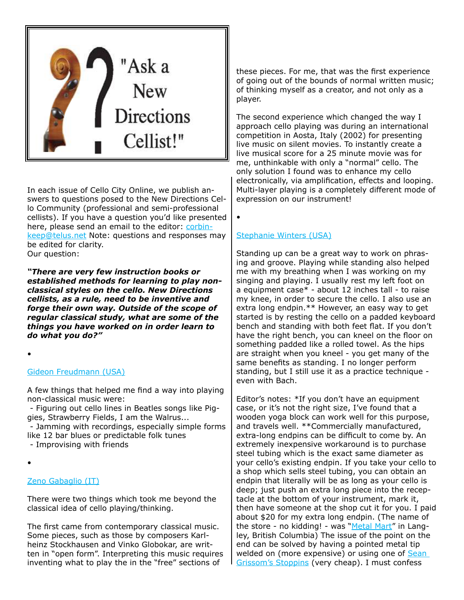

In each issue of Cello City Online, we publish answers to questions posed to the New Directions Cello Community (professional and semi-professional cellists). If you have a question you'd like presented here, please send an email to the editor: corbinkeep@telus.net Note: questions and responses may be edited for clarity.

Our question:

*"There are very few instruction books or established methods for learning to play nonclassical styles on the cello. New Directions cellists, as a rule, need to be inventive and forge their own way. Outside of the scope of regular classical study, what are some of the things you have worked on in order learn to do what you do?"* 

•

#### Gideon Freudmann (USA)

A few things that helped me find a way into playing non-classical music were:

 - Figuring out cello lines in Beatles songs like Piggies, Strawberry Fields, I am the Walrus...

 - Jamming with recordings, especially simple forms like 12 bar blues or predictable folk tunes

- Improvising with friends

•

#### Zeno Gabaglio (IT)

There were two things which took me beyond the classical idea of cello playing/thinking.

The first came from contemporary classical music. Some pieces, such as those by composers Karlheinz Stockhausen and Vinko Globokar, are written in "open form". Interpreting this music requires inventing what to play the in the "free" sections of

these pieces. For me, that was the first experience of going out of the bounds of normal written music; of thinking myself as a creator, and not only as a player.

The second experience which changed the way I approach cello playing was during an international competition in Aosta, Italy (2002) for presenting live music on silent movies. To instantly create a live musical score for a 25 minute movie was for me, unthinkable with only a "normal" cello. The only solution I found was to enhance my cello electronically, via amplification, effects and looping. Multi-layer playing is a completely different mode of expression on our instrument!

•

#### Stephanie Winters (USA)

Standing up can be a great way to work on phrasing and groove. Playing while standing also helped me with my breathing when I was working on my singing and playing. I usually rest my left foot on a equipment case\* - about 12 inches tall - to raise my knee, in order to secure the cello. I also use an extra long endpin.\*\* However, an easy way to get started is by resting the cello on a padded keyboard bench and standing with both feet flat. If you don't have the right bench, you can kneel on the floor on something padded like a rolled towel. As the hips are straight when you kneel - you get many of the same benefits as standing. I no longer perform standing, but I still use it as a practice technique even with Bach.

Editor's notes: \*If you don't have an equipment case, or it's not the right size, I've found that a wooden yoga block can work well for this purpose, and travels well. \*\*Commercially manufactured, extra-long endpins can be difficult to come by. An extremely inexpensive workaround is to purchase steel tubing which is the exact same diameter as your cello's existing endpin. If you take your cello to a shop which sells steel tubing, you can obtain an endpin that literally will be as long as your cello is deep; just push an extra long piece into the receptacle at the bottom of your instrument, mark it, then have someone at the shop cut it for you. I paid about \$20 for my extra long endpin. (The name of the store - no kidding! - was "Metal Mart" in Langley, British Columbia) The issue of the point on the end can be solved by having a pointed metal tip welded on (more expensive) or using one of Sean Grissom's Stoppins (very cheap). I must confess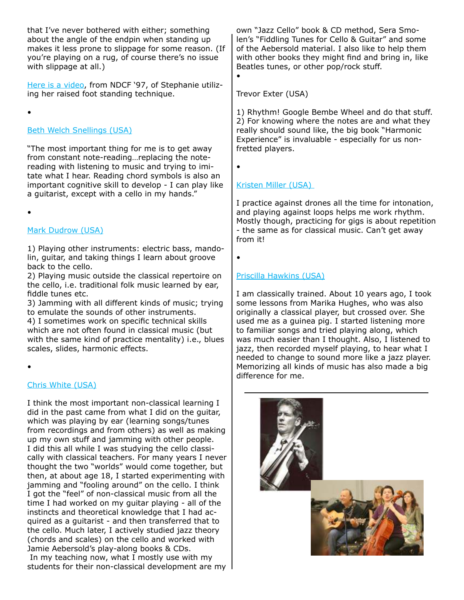that I've never bothered with either; something about the angle of the endpin when standing up makes it less prone to slippage for some reason. (If you're playing on a rug, of course there's no issue with slippage at all.)

Here is a video, from NDCF '97, of Stephanie utilizing her raised foot standing technique.

•

#### Beth Welch Snellings (USA)

"The most important thing for me is to get away from constant note-reading…replacing the notereading with listening to music and trying to imitate what I hear. Reading chord symbols is also an important cognitive skill to develop - I can play like a guitarist, except with a cello in my hands."

•

#### Mark Dudrow (USA)

1) Playing other instruments: electric bass, mandolin, guitar, and taking things I learn about groove back to the cello.

2) Playing music outside the classical repertoire on the cello, i.e. traditional folk music learned by ear, fiddle tunes etc.

3) Jamming with all different kinds of music; trying to emulate the sounds of other instruments. 4) I sometimes work on specific technical skills

which are not often found in classical music (but with the same kind of practice mentality) i.e., blues scales, slides, harmonic effects.

•

#### Chris White (USA)

I think the most important non-classical learning I did in the past came from what I did on the guitar, which was playing by ear (learning songs/tunes from recordings and from others) as well as making up my own stuff and jamming with other people. I did this all while I was studying the cello classically with classical teachers. For many years I never thought the two "worlds" would come together, but then, at about age 18, I started experimenting with jamming and "fooling around" on the cello. I think I got the "feel" of non-classical music from all the time I had worked on my guitar playing - all of the instincts and theoretical knowledge that I had acquired as a guitarist - and then transferred that to the cello. Much later, I actively studied jazz theory (chords and scales) on the cello and worked with Jamie Aebersold's play-along books & CDs. In my teaching now, what I mostly use with my students for their non-classical development are my

own "Jazz Cello" book & CD method, Sera Smolen's "Fiddling Tunes for Cello & Guitar" and some of the Aebersold material. I also like to help them with other books they might find and bring in, like Beatles tunes, or other pop/rock stuff.

Trevor Exter (USA)

1) Rhythm! Google Bembe Wheel and do that stuff. 2) For knowing where the notes are and what they really should sound like, the big book "Harmonic Experience" is invaluable - especially for us nonfretted players.

•

•

#### Kristen Miller (USA)

I practice against drones all the time for intonation, and playing against loops helps me work rhythm. Mostly though, practicing for gigs is about repetition - the same as for classical music. Can't get away from it!

•

#### Priscilla Hawkins (USA)

I am classically trained. About 10 years ago, I took some lessons from Marika Hughes, who was also originally a classical player, but crossed over. She used me as a guinea pig. I started listening more to familiar songs and tried playing along, which was much easier than I thought. Also, I listened to jazz, then recorded myself playing, to hear what I needed to change to sound more like a jazz player. Memorizing all kinds of music has also made a big difference for me.

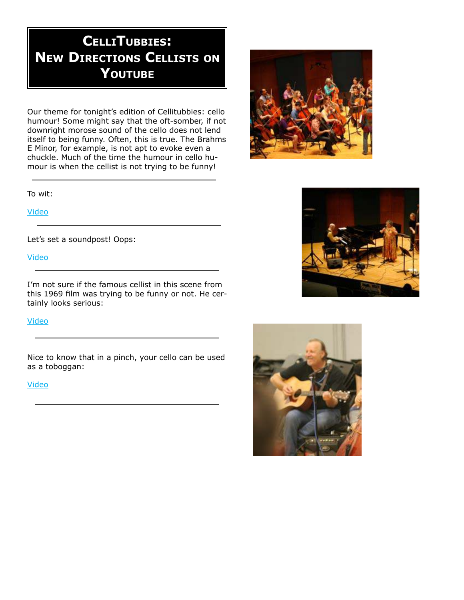## **cellItuBBIes: new DIrectIons cellIsts on youtuBe**

Our theme for tonight's edition of Cellitubbies: cello humour! Some might say that the oft-somber, if not downright morose sound of the cello does not lend itself to being funny. Often, this is true. The Brahms E Minor, for example, is not apt to evoke even a chuckle. Much of the time the humour in cello humour is when the cellist is not trying to be funny!

To wit:

Video

Let's set a soundpost! Oops:

Video

I'm not sure if the famous cellist in this scene from this 1969 film was trying to be funny or not. He certainly looks serious:

Video

Nice to know that in a pinch, your cello can be used as a toboggan:

#### Video





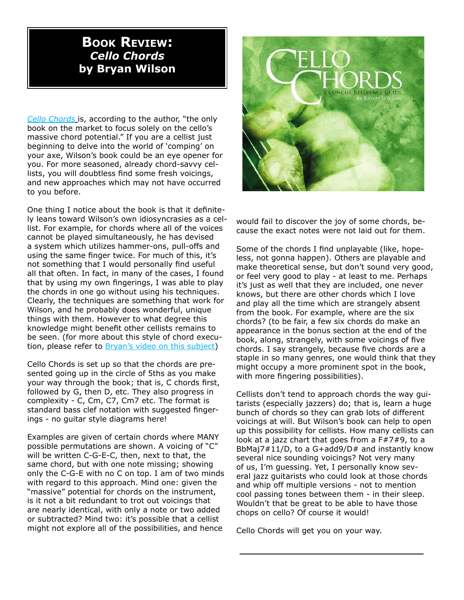### **BOOK REVIEW**: *Cello Chords*  **by Bryan Wilson**

*Cello Chords* is, according to the author, "the only book on the market to focus solely on the cello's massive chord potential." If you are a cellist just beginning to delve into the world of 'comping' on your axe, Wilson's book could be an eye opener for you. For more seasoned, already chord-savvy cellists, you will doubtless find some fresh voicings, and new approaches which may not have occurred to you before.

One thing I notice about the book is that it definitely leans toward Wilson's own idiosyncrasies as a cellist. For example, for chords where all of the voices cannot be played simultaneously, he has devised a system which utilizes hammer-ons, pull-offs and using the same finger twice. For much of this, it's not something that I would personally find useful all that often. In fact, in many of the cases, I found that by using my own fingerings, I was able to play the chords in one go without using his techniques. Clearly, the techniques are something that work for Wilson, and he probably does wonderful, unique things with them. However to what degree this knowledge might benefit other cellists remains to be seen. (for more about this style of chord execution, please refer to **Bryan's video on this subject**)

Cello Chords is set up so that the chords are presented going up in the circle of 5ths as you make your way through the book; that is, C chords first, followed by G, then D, etc. They also progress in complexity - C, Cm, C7, Cm7 etc. The format is standard bass clef notation with suggested fingerings - no guitar style diagrams here!

Examples are given of certain chords where MANY possible permutations are shown. A voicing of "C" will be written C-G-E-C, then, next to that, the same chord, but with one note missing; showing only the C-G-E with no C on top. I am of two minds with regard to this approach. Mind one: given the "massive" potential for chords on the instrument, is it not a bit redundant to trot out voicings that are nearly identical, with only a note or two added or subtracted? Mind two: it's possible that a cellist might not explore all of the possibilities, and hence



would fail to discover the joy of some chords, because the exact notes were not laid out for them.

Some of the chords I find unplayable (like, hopeless, not gonna happen). Others are playable and make theoretical sense, but don't sound very good, or feel very good to play - at least to me. Perhaps it's just as well that they are included, one never knows, but there are other chords which I love and play all the time which are strangely absent from the book. For example, where are the six chords? (to be fair, a few six chords do make an appearance in the bonus section at the end of the book, along, strangely, with some voicings of five chords. I say strangely, because five chords are a staple in so many genres, one would think that they might occupy a more prominent spot in the book, with more fingering possibilities).

Cellists don't tend to approach chords the way guitarists (especially jazzers) do; that is, learn a huge bunch of chords so they can grab lots of different voicings at will. But Wilson's book can help to open up this possibility for cellists. How many cellists can look at a jazz chart that goes from a F#7#9, to a BbMaj7#11/D, to a G+add9/D# and instantly know several nice sounding voicings? Not very many of us, I'm guessing. Yet, I personally know several jazz guitarists who could look at those chords and whip off multiple versions - not to mention cool passing tones between them - in their sleep. Wouldn't that be great to be able to have those chops on cello? Of course it would!

Cello Chords will get you on your way.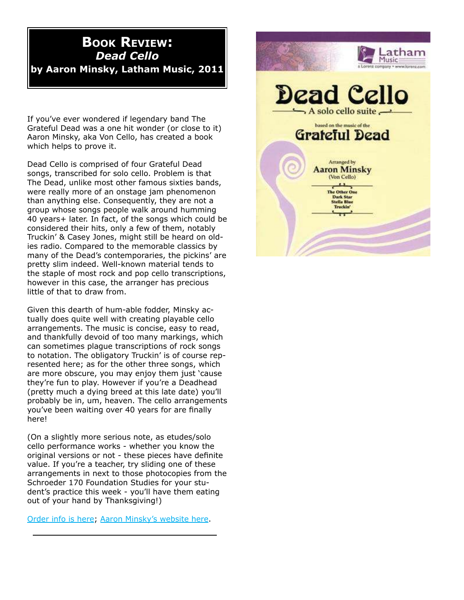### **BOOK REVIEW**: *Dead Cello* **by Aaron Minsky, Latham Music, 2011**

If you've ever wondered if legendary band The Grateful Dead was a one hit wonder (or close to it) Aaron Minsky, aka Von Cello, has created a book which helps to prove it.

Dead Cello is comprised of four Grateful Dead songs, transcribed for solo cello. Problem is that The Dead, unlike most other famous sixties bands, were really more of an onstage jam phenomenon than anything else. Consequently, they are not a group whose songs people walk around humming 40 years+ later. In fact, of the songs which could be considered their hits, only a few of them, notably Truckin' & Casey Jones, might still be heard on oldies radio. Compared to the memorable classics by many of the Dead's contemporaries, the pickins' are pretty slim indeed. Well-known material tends to the staple of most rock and pop cello transcriptions, however in this case, the arranger has precious little of that to draw from.

Given this dearth of hum-able fodder, Minsky actually does quite well with creating playable cello arrangements. The music is concise, easy to read, and thankfully devoid of too many markings, which can sometimes plague transcriptions of rock songs to notation. The obligatory Truckin' is of course represented here; as for the other three songs, which are more obscure, you may enjoy them just 'cause they're fun to play. However if you're a Deadhead (pretty much a dying breed at this late date) you'll probably be in, um, heaven. The cello arrangements you've been waiting over 40 years for are finally here!

(On a slightly more serious note, as etudes/solo cello performance works - whether you know the original versions or not - these pieces have definite value. If you're a teacher, try sliding one of these arrangements in next to those photocopies from the Schroeder 170 Foundation Studies for your student's practice this week - you'll have them eating out of your hand by Thanksgiving!)

Order info is here; Aaron Minsky's website here.